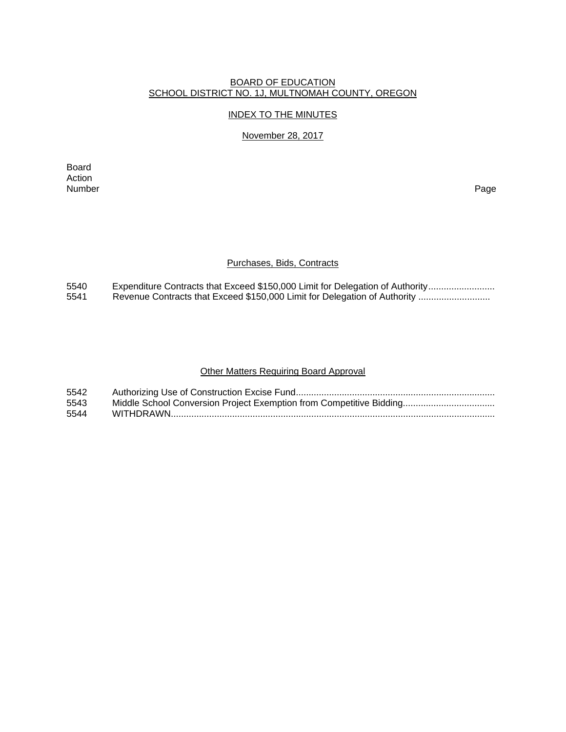### BOARD OF EDUCATION SCHOOL DISTRICT NO. 1J, MULTNOMAH COUNTY, OREGON

#### INDEX TO THE MINUTES

#### November 28, 2017

Board Action<br>Number Number Page

#### Purchases, Bids, Contracts

5540 Expenditure Contracts that Exceed \$150,000 Limit for Delegation of Authority ...........................<br>5541 Revenue Contracts that Exceed \$150,000 Limit for Delegation of Authority ............................... Revenue Contracts that Exceed \$150,000 Limit for Delegation of Authority ...........................

#### Other Matters Requiring Board Approval

| 5542 |  |
|------|--|
| 5543 |  |
| 5544 |  |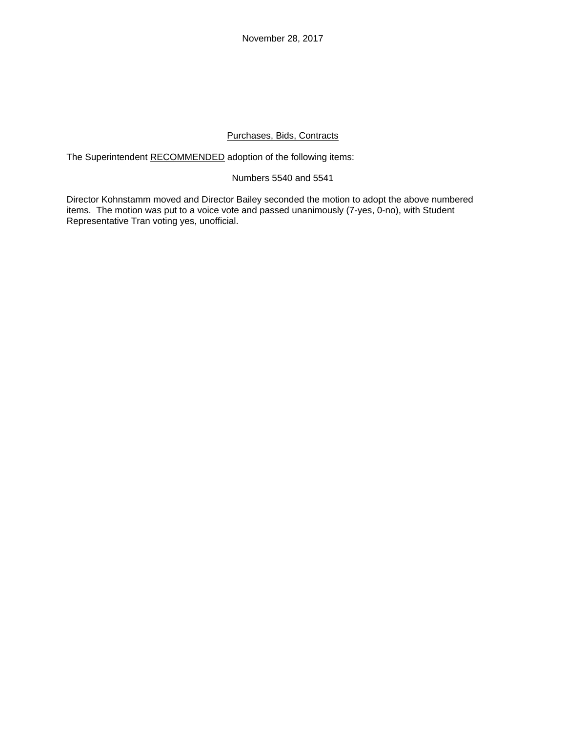November 28, 2017

# Purchases, Bids, Contracts

The Superintendent RECOMMENDED adoption of the following items:

## Numbers 5540 and 5541

Director Kohnstamm moved and Director Bailey seconded the motion to adopt the above numbered items. The motion was put to a voice vote and passed unanimously (7-yes, 0-no), with Student Representative Tran voting yes, unofficial.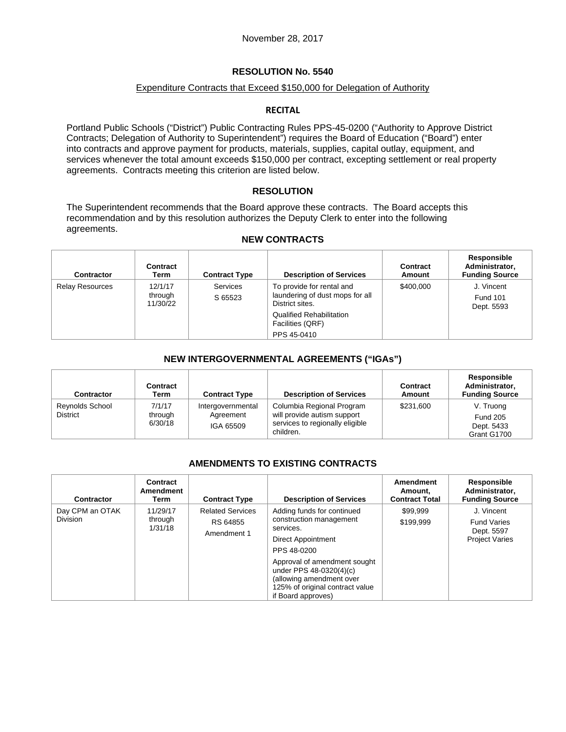## Expenditure Contracts that Exceed \$150,000 for Delegation of Authority

### **RECITAL**

Portland Public Schools ("District") Public Contracting Rules PPS-45-0200 ("Authority to Approve District Contracts; Delegation of Authority to Superintendent") requires the Board of Education ("Board") enter into contracts and approve payment for products, materials, supplies, capital outlay, equipment, and services whenever the total amount exceeds \$150,000 per contract, excepting settlement or real property agreements. Contracts meeting this criterion are listed below.

## **RESOLUTION**

The Superintendent recommends that the Board approve these contracts. The Board accepts this recommendation and by this resolution authorizes the Deputy Clerk to enter into the following agreements.

## **NEW CONTRACTS**

| <b>Contractor</b>      | Contract<br>Term               | <b>Contract Type</b> | <b>Description of Services</b>                                                  | Contract<br>Amount | Responsible<br>Administrator,<br><b>Funding Source</b> |
|------------------------|--------------------------------|----------------------|---------------------------------------------------------------------------------|--------------------|--------------------------------------------------------|
| <b>Relay Resources</b> | 12/1/17<br>through<br>11/30/22 | Services<br>S 65523  | To provide for rental and<br>laundering of dust mops for all<br>District sites. | \$400,000          | J. Vincent<br><b>Fund 101</b><br>Dept. 5593            |
|                        |                                |                      | Qualified Rehabilitation<br>Facilities (QRF)                                    |                    |                                                        |
|                        |                                |                      | PPS 45-0410                                                                     |                    |                                                        |

## **NEW INTERGOVERNMENTAL AGREEMENTS ("IGAs")**

| <b>Contractor</b>                         | Contract<br>Term             | <b>Contract Type</b>                        | <b>Description of Services</b>                                                                           | <b>Contract</b><br>Amount | Responsible<br>Administrator,<br><b>Funding Source</b>    |
|-------------------------------------------|------------------------------|---------------------------------------------|----------------------------------------------------------------------------------------------------------|---------------------------|-----------------------------------------------------------|
| <b>Reynolds School</b><br><b>District</b> | 7/1/17<br>through<br>6/30/18 | Intergovernmental<br>Agreement<br>IGA 65509 | Columbia Regional Program<br>will provide autism support<br>services to regionally eligible<br>children. | \$231,600                 | V. Truong<br><b>Fund 205</b><br>Dept. 5433<br>Grant G1700 |

## **AMENDMENTS TO EXISTING CONTRACTS**

| Contractor                         | Contract<br><b>Amendment</b><br>Term | <b>Contract Type</b>                               | <b>Description of Services</b>                                                                                                               | Amendment<br>Amount,<br><b>Contract Total</b> | Responsible<br>Administrator,<br><b>Funding Source</b>                  |
|------------------------------------|--------------------------------------|----------------------------------------------------|----------------------------------------------------------------------------------------------------------------------------------------------|-----------------------------------------------|-------------------------------------------------------------------------|
| Day CPM an OTAK<br><b>Division</b> | 11/29/17<br>through<br>1/31/18       | <b>Related Services</b><br>RS 64855<br>Amendment 1 | Adding funds for continued<br>construction management<br>services.<br><b>Direct Appointment</b><br>PPS 48-0200                               | \$99,999<br>\$199.999                         | J. Vincent<br><b>Fund Varies</b><br>Dept. 5597<br><b>Project Varies</b> |
|                                    |                                      |                                                    | Approval of amendment sought<br>under PPS 48-0320(4)(c)<br>(allowing amendment over<br>125% of original contract value<br>if Board approves) |                                               |                                                                         |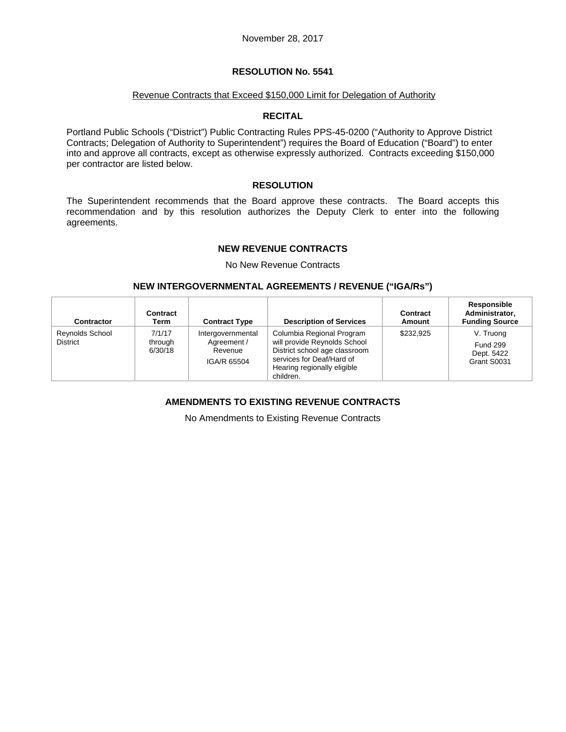#### Revenue Contracts that Exceed \$150,000 Limit for Delegation of Authority

### **RECITAL**

Portland Public Schools ("District") Public Contracting Rules PPS-45-0200 ("Authority to Approve District Contracts; Delegation of Authority to Superintendent") requires the Board of Education ("Board") to enter into and approve all contracts, except as otherwise expressly authorized. Contracts exceeding \$150,000 per contractor are listed below.

### **RESOLUTION**

The Superintendent recommends that the Board approve these contracts. The Board accepts this recommendation and by this resolution authorizes the Deputy Clerk to enter into the following agreements.

### **NEW REVENUE CONTRACTS**

No New Revenue Contracts

### **NEW INTERGOVERNMENTAL AGREEMENTS / REVENUE ("IGA/Rs")**

| Contractor                                | Contract<br>Term             | <b>Contract Type</b>                                       | <b>Description of Services</b>                                                                                                                                      | Contract<br>Amount | Responsible<br>Administrator.<br><b>Funding Source</b>    |
|-------------------------------------------|------------------------------|------------------------------------------------------------|---------------------------------------------------------------------------------------------------------------------------------------------------------------------|--------------------|-----------------------------------------------------------|
| <b>Reynolds School</b><br><b>District</b> | 7/1/17<br>through<br>6/30/18 | Intergovernmental<br>Agreement /<br>Revenue<br>IGA/R 65504 | Columbia Regional Program<br>will provide Reynolds School<br>District school age classroom<br>services for Deaf/Hard of<br>Hearing regionally eligible<br>children. | \$232.925          | V. Truong<br><b>Fund 299</b><br>Dept. 5422<br>Grant S0031 |

# **AMENDMENTS TO EXISTING REVENUE CONTRACTS**

No Amendments to Existing Revenue Contracts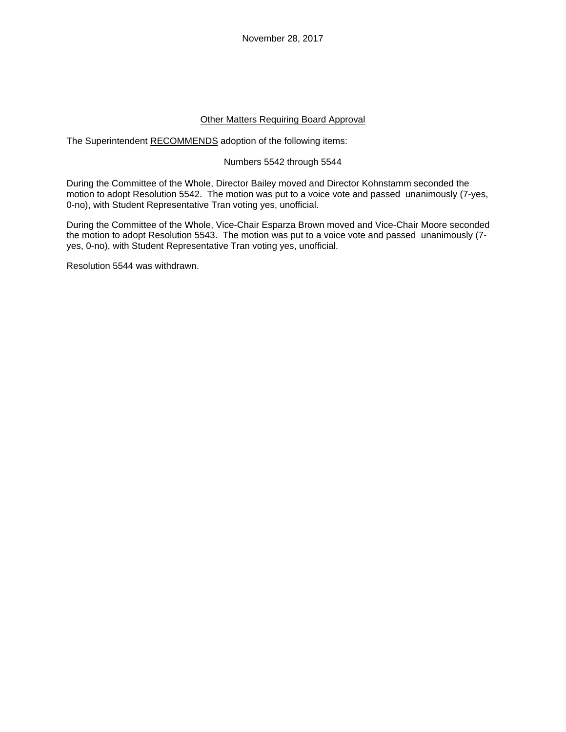November 28, 2017

### Other Matters Requiring Board Approval

The Superintendent RECOMMENDS adoption of the following items:

### Numbers 5542 through 5544

During the Committee of the Whole, Director Bailey moved and Director Kohnstamm seconded the motion to adopt Resolution 5542. The motion was put to a voice vote and passed unanimously (7-yes, 0-no), with Student Representative Tran voting yes, unofficial.

During the Committee of the Whole, Vice-Chair Esparza Brown moved and Vice-Chair Moore seconded the motion to adopt Resolution 5543. The motion was put to a voice vote and passed unanimously (7 yes, 0-no), with Student Representative Tran voting yes, unofficial.

Resolution 5544 was withdrawn.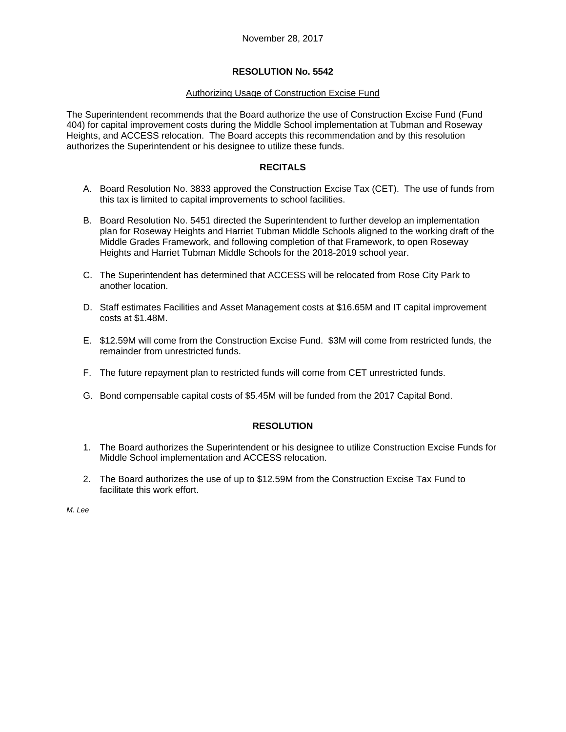### Authorizing Usage of Construction Excise Fund

The Superintendent recommends that the Board authorize the use of Construction Excise Fund (Fund 404) for capital improvement costs during the Middle School implementation at Tubman and Roseway Heights, and ACCESS relocation. The Board accepts this recommendation and by this resolution authorizes the Superintendent or his designee to utilize these funds.

## **RECITALS**

- A. Board Resolution No. 3833 approved the Construction Excise Tax (CET). The use of funds from this tax is limited to capital improvements to school facilities.
- B. Board Resolution No. 5451 directed the Superintendent to further develop an implementation plan for Roseway Heights and Harriet Tubman Middle Schools aligned to the working draft of the Middle Grades Framework, and following completion of that Framework, to open Roseway Heights and Harriet Tubman Middle Schools for the 2018-2019 school year.
- C. The Superintendent has determined that ACCESS will be relocated from Rose City Park to another location.
- D. Staff estimates Facilities and Asset Management costs at \$16.65M and IT capital improvement costs at \$1.48M.
- E. \$12.59M will come from the Construction Excise Fund. \$3M will come from restricted funds, the remainder from unrestricted funds.
- F. The future repayment plan to restricted funds will come from CET unrestricted funds.
- G. Bond compensable capital costs of \$5.45M will be funded from the 2017 Capital Bond.

## **RESOLUTION**

- 1. The Board authorizes the Superintendent or his designee to utilize Construction Excise Funds for Middle School implementation and ACCESS relocation.
- 2. The Board authorizes the use of up to \$12.59M from the Construction Excise Tax Fund to facilitate this work effort.

*M. Lee*